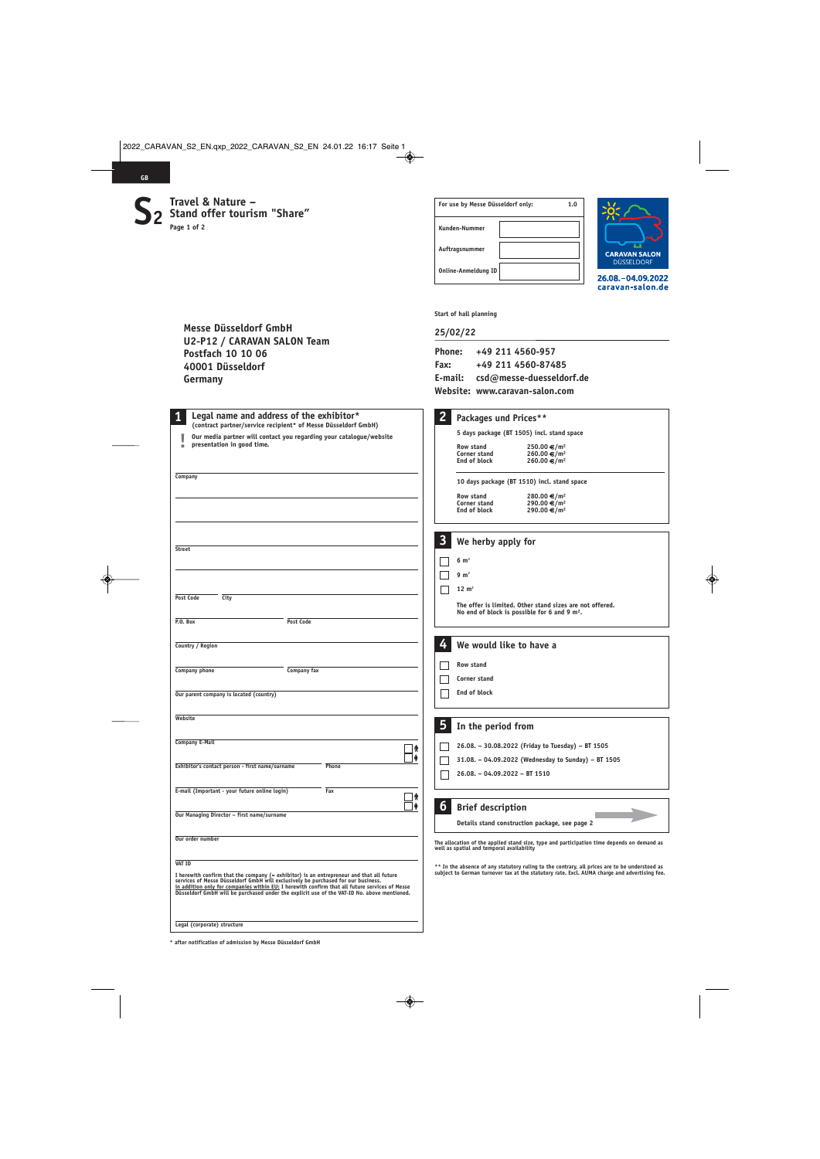$S<sub>2</sub>$  **Travel & Nature –**<br> **S**  $\sum_{\text{Page 1 of 2}}$ **2**

**Messe Düsseldorf GmbH** 

**Postfach 10 10 06 40001 Düsseldorf** 

**Germany**

**U2-P12 / CARAVAN SALON Team** 

**GB**

| For use by Messe Düsseldorf only: |  | 1.0 |
|-----------------------------------|--|-----|
| Kunden-Nummer                     |  |     |
| Auftragsnummer                    |  |     |
| <b>Online-Anmeldung ID</b>        |  |     |



26.08. - 04.09.2022 caravan-salon.de

**Start of hall planning** 

## **25/02/22**

| +49 211 4560-957                 |
|----------------------------------|
| +49 211 4560-87485               |
| E-mail: csd@messe-duesseldorf.de |
| Website: www.caravan-salon.com   |
|                                  |

|                                                                                                                                                                                                                              | Website: www.caravan-salon.com                                                                                                                                                                                                                                                                                                           |  |  |
|------------------------------------------------------------------------------------------------------------------------------------------------------------------------------------------------------------------------------|------------------------------------------------------------------------------------------------------------------------------------------------------------------------------------------------------------------------------------------------------------------------------------------------------------------------------------------|--|--|
| Legal name and address of the exhibitor*<br>(contract partner/service recipient* of Messe Düsseldorf GmbH)<br>Our media partner will contact you regarding your catalogue/website<br>presentation in good time.              | $\overline{2}$<br>Packages und Prices**<br>5 days package (BT 1505) incl. stand space<br>Row stand<br>250.00 €/m <sup>2</sup><br>260.00 €/m <sup>2</sup><br>Corner stand<br>End of block<br>260.00 €/m <sup>2</sup>                                                                                                                      |  |  |
| Company                                                                                                                                                                                                                      | 10 days package (BT 1510) incl. stand space<br>Row stand<br>280.00 €/m <sup>2</sup><br>290.00 €/m <sup>2</sup><br>Corner stand<br>290.00 €/m <sup>2</sup><br>End of block                                                                                                                                                                |  |  |
| <b>Street</b>                                                                                                                                                                                                                | $\mathbf{3}$<br>We herby apply for<br>$6 \text{ m}^2$                                                                                                                                                                                                                                                                                    |  |  |
| <b>Post Code</b><br>City<br>P.O. Box<br><b>Post Code</b>                                                                                                                                                                     | $9 \text{ m}^2$<br>$12 \text{ m}^2$<br>The offer is limited. Other stand sizes are not offered.<br>No end of block is possible for 6 and 9 $m2$ .                                                                                                                                                                                        |  |  |
| Country / Region<br>Company phone<br>Company fax                                                                                                                                                                             | 4<br>We would like to have a<br><b>Row stand</b><br>Corner stand                                                                                                                                                                                                                                                                         |  |  |
| Our parent company is located (country)<br>Website                                                                                                                                                                           | End of block<br>5<br>In the period from                                                                                                                                                                                                                                                                                                  |  |  |
| <b>Company E-Mail</b><br>۸<br>Exhibitor's contact person - first name/surname<br>Phone                                                                                                                                       | 26.08. - 30.08.2022 (Friday to Tuesday) - BT 1505<br>31.08. - 04.09.2022 (Wednesday to Sunday) - BT 1505<br>26.08. - 04.09.2022 - BT 1510                                                                                                                                                                                                |  |  |
| E-mail (Important - your future online login)<br>Fax<br>т<br>٠<br>Our Managing Director - first name/surname                                                                                                                 | 6<br><b>Brief description</b><br>Details stand construction package, see page 2                                                                                                                                                                                                                                                          |  |  |
| Our order number<br><b>VAT ID</b><br>I herewith confirm that the company (= exhibitor) is an entrepreneur and that all future<br>services of Messe Düsseldorf GmbH will exclusively be purchased for our business.           | The allocation of the applied stand size, type and participation time depends on demand as<br>well as spatial and temporal availability<br>** In the absence of any statutory ruling to the contrary, all prices are to be understood as<br>subject to German turnover tax at the statutory rate. Excl. AUMA charge and advertising fee. |  |  |
| in addition only for companies within EU: I herewith confirm that all future services of Messe<br>Düsseldorf GmbH will be purchased under the explicit use of the VAT-ID No. above mentioned.<br>Legal (corporate) structure |                                                                                                                                                                                                                                                                                                                                          |  |  |

**\* after notification of admission by Messe Düsseldorf GmbH**